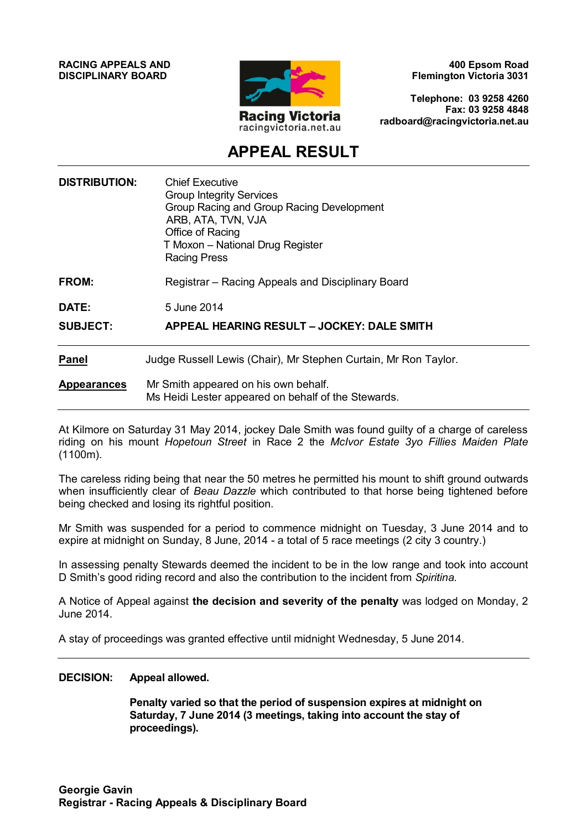**RACING APPEALS AND DISCIPLINARY BOARD**



**400 Epsom Road Flemington Victoria 3031**

**Telephone: 03 9258 4260 Fax: 03 9258 4848 radboard@racingvictoria.net.au**

## **APPEAL RESULT**

| <b>DISTRIBUTION:</b><br><b>FROM:</b><br>DATE:<br><b>SUBJECT:</b> | <b>Chief Executive</b><br><b>Group Integrity Services</b><br>Group Racing and Group Racing Development<br>ARB, ATA, TVN, VJA<br>Office of Racing<br>T Moxon - National Drug Register<br><b>Racing Press</b><br>Registrar – Racing Appeals and Disciplinary Board<br>5 June 2014<br>APPEAL HEARING RESULT - JOCKEY: DALE SMITH |              |
|------------------------------------------------------------------|-------------------------------------------------------------------------------------------------------------------------------------------------------------------------------------------------------------------------------------------------------------------------------------------------------------------------------|--------------|
|                                                                  |                                                                                                                                                                                                                                                                                                                               |              |
|                                                                  |                                                                                                                                                                                                                                                                                                                               |              |
|                                                                  |                                                                                                                                                                                                                                                                                                                               | <b>Panel</b> |
| <b>Appearances</b>                                               | Mr Smith appeared on his own behalf.<br>Ms Heidi Lester appeared on behalf of the Stewards.                                                                                                                                                                                                                                   |              |

At Kilmore on Saturday 31 May 2014, jockey Dale Smith was found guilty of a charge of careless riding on his mount *Hopetoun Street* in Race 2 the *McIvor Estate 3yo Fillies Maiden Plate* (1100m).

The careless riding being that near the 50 metres he permitted his mount to shift ground outwards when insufficiently clear of *Beau Dazzle* which contributed to that horse being tightened before being checked and losing its rightful position.

Mr Smith was suspended for a period to commence midnight on Tuesday, 3 June 2014 and to expire at midnight on Sunday, 8 June, 2014 - a total of 5 race meetings (2 city 3 country.)

In assessing penalty Stewards deemed the incident to be in the low range and took into account D Smith's good riding record and also the contribution to the incident from *Spiritina.*

A Notice of Appeal against **the decision and severity of the penalty** was lodged on Monday, 2 June 2014.

A stay of proceedings was granted effective until midnight Wednesday, 5 June 2014.

#### **DECISION: Appeal allowed.**

**Penalty varied so that the period of suspension expires at midnight on Saturday, 7 June 2014 (3 meetings, taking into account the stay of proceedings).**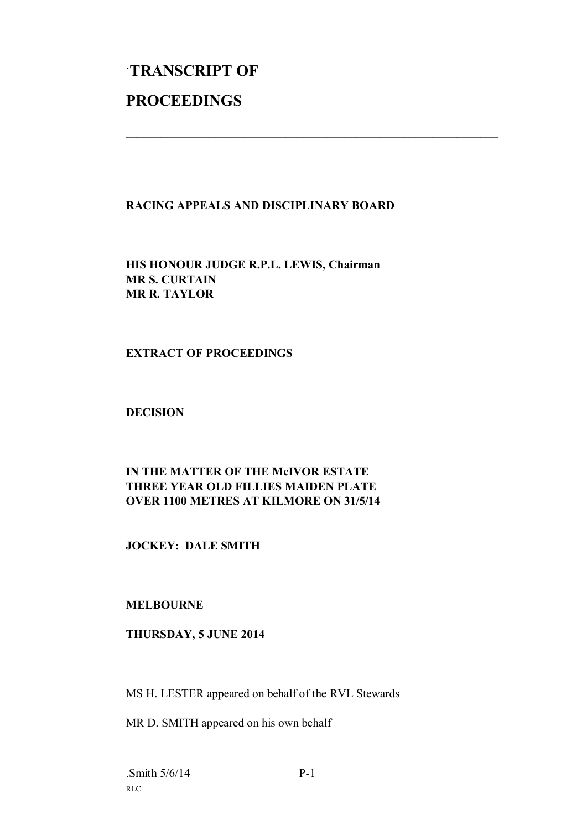# `**TRANSCRIPT OF PROCEEDINGS**

#### **RACING APPEALS AND DISCIPLINARY BOARD**

 $\mathcal{L}_\text{max}$  , and the contribution of the contribution of the contribution of the contribution of the contribution of the contribution of the contribution of the contribution of the contribution of the contribution of t

**HIS HONOUR JUDGE R.P.L. LEWIS, Chairman MR S. CURTAIN MR R. TAYLOR**

#### **EXTRACT OF PROCEEDINGS**

#### **DECISION**

### **IN THE MATTER OF THE McIVOR ESTATE THREE YEAR OLD FILLIES MAIDEN PLATE OVER 1100 METRES AT KILMORE ON 31/5/14**

#### **JOCKEY: DALE SMITH**

#### **MELBOURNE**

#### **THURSDAY, 5 JUNE 2014**

MS H. LESTER appeared on behalf of the RVL Stewards

MR D. SMITH appeared on his own behalf